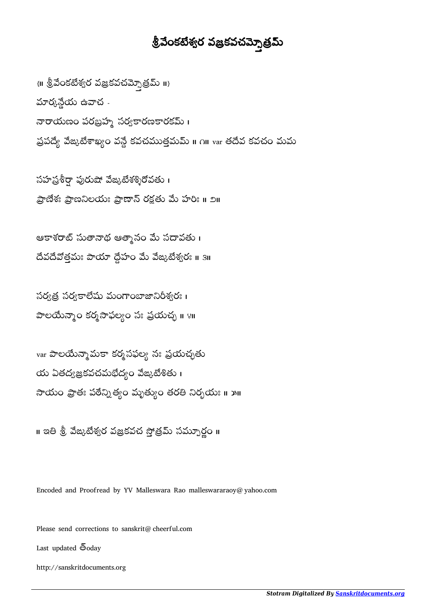## శ్రీవేంకటేశ్వర వజ్రకవచమ్నెత్రమ్

 $\{ \mathfrak{m} \stackrel{1}{\otimes} \mathbb{S}$ దకటేశ్వర వజ్రకవచమ్నెత్రమ్ ॥} మార్కన్దేయ ఉవాచ -నారాయణం పరబ్రహ్మ సర్వకారణకారకమ్ । ప్రపద్యే వేఙ్కటేశాఖ్యం వన్దే కవచముత్తమమ్ ॥ ౧॥ var తదేవ కవచం మమ

సహ ప్రశీర్షా పురుషో వేజుటేశశ్శిరోవతు। ప్రాణేశః ప్రాణనిలయః ప్రాణాన్ రక్షతు మే హరిః ॥ ౨॥

ఆకాశరాట్ సుతానాథ ఆత్మానం మే సదావతు। వతమః హం ఙశరః ॥ ౩॥

సర్వత్ర సర్వకాలేషు మంగాంబాజానిరీశ్వరః । పాలయేన్నాం కర్మసాఫల్యం సః ప్రయచ్చ ॥ ४॥

var పాలయేన్మామకా కర్మసఫల్య నః ప్రయచ్చతు  $\omega$  ఏతద్వజ్రకవచమభేద్యం వేఙ్కటేశితు సాయం ప్రాతః పఠేన్నిత్యం మృత్యుం తరతి నిర్భయః ॥ ౫॥

॥ ఇతి శ్రీ వేఙ్కటేశ్వర వజ్రకవచ సోత్రమ్ సమ్పూర్ణం ॥

Encoded and Proofread by YV Malleswara Rao malleswararaoy@yahoo.com

Please send corrections to sanskrit@cheerful.com

Last updated  $\bar{6}$ oday

http://sanskritdocuments.org